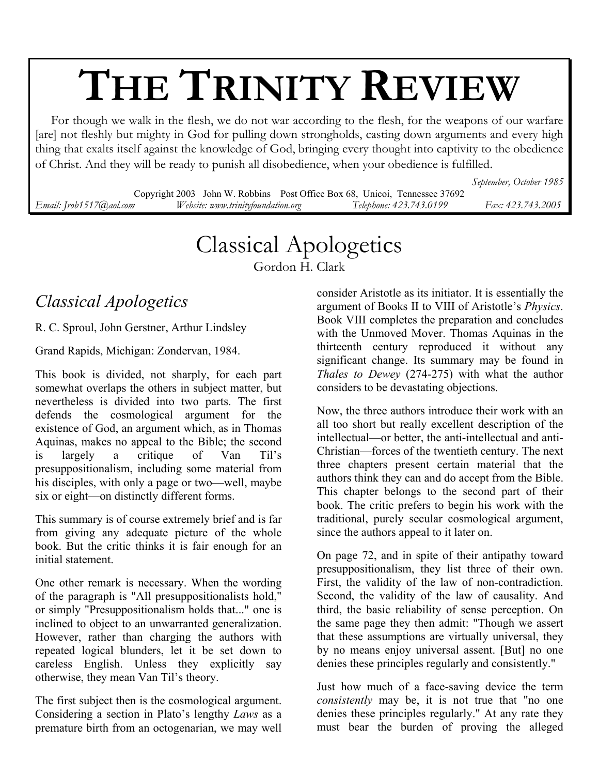# **THE TRINITY REVIEW**

 For though we walk in the flesh, we do not war according to the flesh, for the weapons of our warfare [are] not fleshly but mighty in God for pulling down strongholds, casting down arguments and every high thing that exalts itself against the knowledge of God, bringing every thought into captivity to the obedience of Christ. And they will be ready to punish all disobedience, when your obedience is fulfilled.

*September, October 1985* 

Copyright 2003 John W. Robbins Post Office Box 68, Unicoi, Tennessee 37692 *Email: Jrob1517@aol.com Website: www.trinityfoundation.org Telephone: 423.743.0199 Fax: 423.743.2005*

## Classical Apologetics

Gordon H. Clark

### *Classical Apologetics*

R. C. Sproul, John Gerstner, Arthur Lindsley

Grand Rapids, Michigan: Zondervan, 1984.

This book is divided, not sharply, for each part somewhat overlaps the others in subject matter, but nevertheless is divided into two parts. The first defends the cosmological argument for the existence of God, an argument which, as in Thomas Aquinas, makes no appeal to the Bible; the second is largely a critique of Van Til's presuppositionalism, including some material from his disciples, with only a page or two—well, maybe six or eight—on distinctly different forms.

This summary is of course extremely brief and is far from giving any adequate picture of the whole book. But the critic thinks it is fair enough for an initial statement.

One other remark is necessary. When the wording of the paragraph is "All presuppositionalists hold," or simply "Presuppositionalism holds that..." one is inclined to object to an unwarranted generalization. However, rather than charging the authors with repeated logical blunders, let it be set down to careless English. Unless they explicitly say otherwise, they mean Van Til's theory.

The first subject then is the cosmological argument. Considering a section in Plato's lengthy *Laws* as a premature birth from an octogenarian, we may well

consider Aristotle as its initiator. It is essentially the argument of Books II to VIII of Aristotle's *Physics*. Book VIII completes the preparation and concludes with the Unmoved Mover. Thomas Aquinas in the thirteenth century reproduced it without any significant change. Its summary may be found in *Thales to Dewey* (274-275) with what the author considers to be devastating objections.

Now, the three authors introduce their work with an all too short but really excellent description of the intellectual—or better, the anti-intellectual and anti-Christian—forces of the twentieth century. The next three chapters present certain material that the authors think they can and do accept from the Bible. This chapter belongs to the second part of their book. The critic prefers to begin his work with the traditional, purely secular cosmological argument, since the authors appeal to it later on.

On page 72, and in spite of their antipathy toward presuppositionalism, they list three of their own. First, the validity of the law of non-contradiction. Second, the validity of the law of causality. And third, the basic reliability of sense perception. On the same page they then admit: "Though we assert that these assumptions are virtually universal, they by no means enjoy universal assent. [But] no one denies these principles regularly and consistently."

Just how much of a face-saving device the term *consistently* may be, it is not true that "no one denies these principles regularly." At any rate they must bear the burden of proving the alleged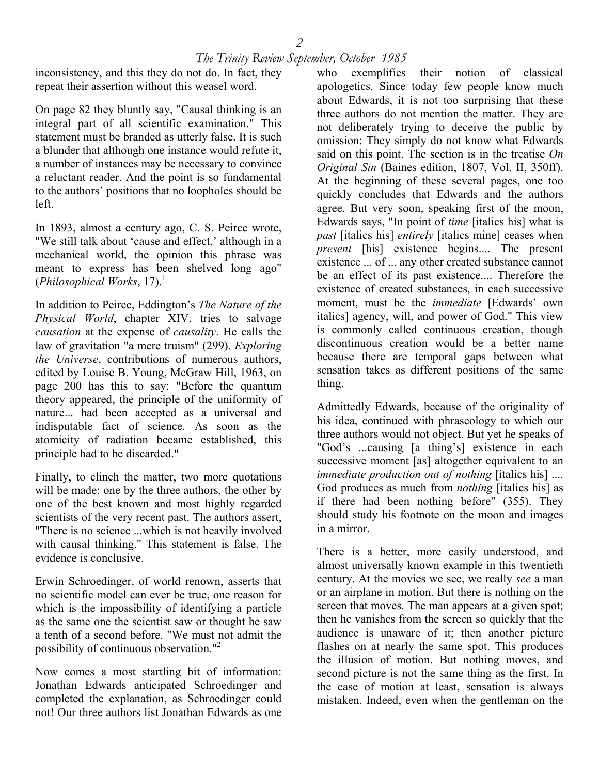inconsistency, and this they do not do. In fact, they repeat their assertion without this weasel word.

On page 82 they bluntly say, "Causal thinking is an integral part of all scientific examination." This statement must be branded as utterly false. It is such a blunder that although one instance would refute it, a number of instances may be necessary to convince a reluctant reader. And the point is so fundamental to the authors' positions that no loopholes should be left.

In 1893, almost a century ago, C. S. Peirce wrote, "We still talk about 'cause and effect,' although in a mechanical world, the opinion this phrase was meant to express has been shelved long ago"  $(Philosophical Works, 17).<sup>1</sup>$ 

In addition to Peirce, Eddington's *The Nature of the Physical World*, chapter XIV, tries to salvage *causation* at the expense of *causality*. He calls the law of gravitation "a mere truism" (299). *Exploring the Universe*, contributions of numerous authors, edited by Louise B. Young, McGraw Hill, 1963, on page 200 has this to say: "Before the quantum theory appeared, the principle of the uniformity of nature... had been accepted as a universal and indisputable fact of science. As soon as the atomicity of radiation became established, this principle had to be discarded."

Finally, to clinch the matter, two more quotations will be made: one by the three authors, the other by one of the best known and most highly regarded scientists of the very recent past. The authors assert, "There is no science ...which is not heavily involved with causal thinking." This statement is false. The evidence is conclusive.

Erwin Schroedinger, of world renown, asserts that no scientific model can ever be true, one reason for which is the impossibility of identifying a particle as the same one the scientist saw or thought he saw a tenth of a second before. "We must not admit the possibility of continuous observation."<sup>2</sup>

Now comes a most startling bit of information: Jonathan Edwards anticipated Schroedinger and completed the explanation, as Schroedinger could not! Our three authors list Jonathan Edwards as one

who exemplifies their notion of classical apologetics. Since today few people know much about Edwards, it is not too surprising that these three authors do not mention the matter. They are not deliberately trying to deceive the public by omission: They simply do not know what Edwards said on this point. The section is in the treatise *On Original Sin* (Baines edition, 1807, Vol. II, 350ff). At the beginning of these several pages, one too quickly concludes that Edwards and the authors agree. But very soon, speaking first of the moon, Edwards says, "In point of *time* [italics his] what is *past* [italics his] *entirely* [italics mine] ceases when *present* [his] existence begins.... The present existence ... of ... any other created substance cannot be an effect of its past existence.... Therefore the existence of created substances, in each successive moment, must be the *immediate* [Edwards' own italics] agency, will, and power of God." This view is commonly called continuous creation, though discontinuous creation would be a better name because there are temporal gaps between what sensation takes as different positions of the same thing.

Admittedly Edwards, because of the originality of his idea, continued with phraseology to which our three authors would not object. But yet he speaks of "God's ...causing [a thing's] existence in each successive moment [as] altogether equivalent to an *immediate production out of nothing* [italics his] .... God produces as much from *nothing* [italics his] as if there had been nothing before" (355). They should study his footnote on the moon and images in a mirror.

There is a better, more easily understood, and almost universally known example in this twentieth century. At the movies we see, we really *see* a man or an airplane in motion. But there is nothing on the screen that moves. The man appears at a given spot; then he vanishes from the screen so quickly that the audience is unaware of it; then another picture flashes on at nearly the same spot. This produces the illusion of motion. But nothing moves, and second picture is not the same thing as the first. In the case of motion at least, sensation is always mistaken. Indeed, even when the gentleman on the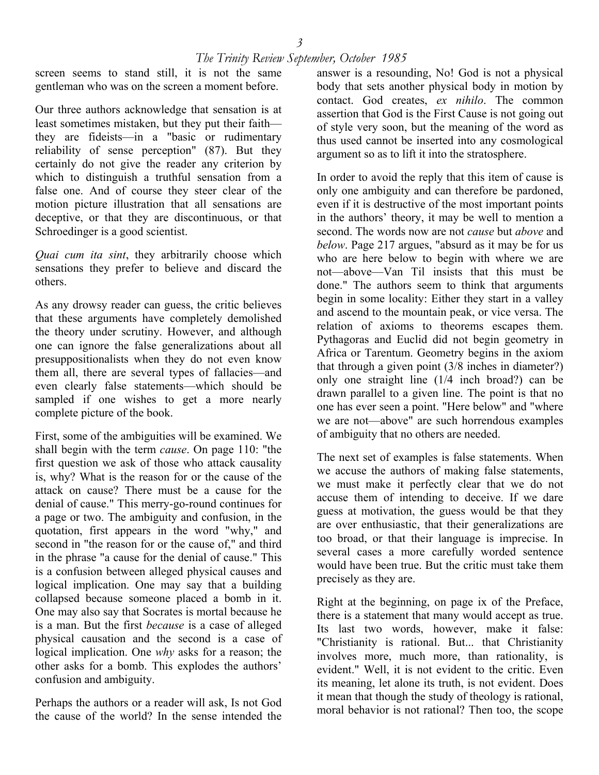screen seems to stand still, it is not the same gentleman who was on the screen a moment before.

Our three authors acknowledge that sensation is at least sometimes mistaken, but they put their faith they are fideists—in a "basic or rudimentary reliability of sense perception" (87). But they certainly do not give the reader any criterion by which to distinguish a truthful sensation from a false one. And of course they steer clear of the motion picture illustration that all sensations are deceptive, or that they are discontinuous, or that Schroedinger is a good scientist.

*Quai cum ita sint*, they arbitrarily choose which sensations they prefer to believe and discard the others.

As any drowsy reader can guess, the critic believes that these arguments have completely demolished the theory under scrutiny. However, and although one can ignore the false generalizations about all presuppositionalists when they do not even know them all, there are several types of fallacies—and even clearly false statements—which should be sampled if one wishes to get a more nearly complete picture of the book.

First, some of the ambiguities will be examined. We shall begin with the term *cause*. On page 110: "the first question we ask of those who attack causality is, why? What is the reason for or the cause of the attack on cause? There must be a cause for the denial of cause." This merry-go-round continues for a page or two. The ambiguity and confusion, in the quotation, first appears in the word "why," and second in "the reason for or the cause of," and third in the phrase "a cause for the denial of cause." This is a confusion between alleged physical causes and logical implication. One may say that a building collapsed because someone placed a bomb in it. One may also say that Socrates is mortal because he is a man. But the first *because* is a case of alleged physical causation and the second is a case of logical implication. One *why* asks for a reason; the other asks for a bomb. This explodes the authors' confusion and ambiguity.

Perhaps the authors or a reader will ask, Is not God the cause of the world? In the sense intended the

answer is a resounding, No! God is not a physical body that sets another physical body in motion by contact. God creates, *ex nihilo*. The common assertion that God is the First Cause is not going out of style very soon, but the meaning of the word as thus used cannot be inserted into any cosmological argument so as to lift it into the stratosphere.

In order to avoid the reply that this item of cause is only one ambiguity and can therefore be pardoned, even if it is destructive of the most important points in the authors' theory, it may be well to mention a second. The words now are not *cause* but *above* and *below*. Page 217 argues, "absurd as it may be for us who are here below to begin with where we are not—above—Van Til insists that this must be done." The authors seem to think that arguments begin in some locality: Either they start in a valley and ascend to the mountain peak, or vice versa. The relation of axioms to theorems escapes them. Pythagoras and Euclid did not begin geometry in Africa or Tarentum. Geometry begins in the axiom that through a given point (3/8 inches in diameter?) only one straight line (1/4 inch broad?) can be drawn parallel to a given line. The point is that no one has ever seen a point. "Here below" and "where we are not—above" are such horrendous examples of ambiguity that no others are needed.

The next set of examples is false statements. When we accuse the authors of making false statements, we must make it perfectly clear that we do not accuse them of intending to deceive. If we dare guess at motivation, the guess would be that they are over enthusiastic, that their generalizations are too broad, or that their language is imprecise. In several cases a more carefully worded sentence would have been true. But the critic must take them precisely as they are.

Right at the beginning, on page ix of the Preface, there is a statement that many would accept as true. Its last two words, however, make it false: "Christianity is rational. But... that Christianity involves more, much more, than rationality, is evident." Well, it is not evident to the critic. Even its meaning, let alone its truth, is not evident. Does it mean that though the study of theology is rational, moral behavior is not rational? Then too, the scope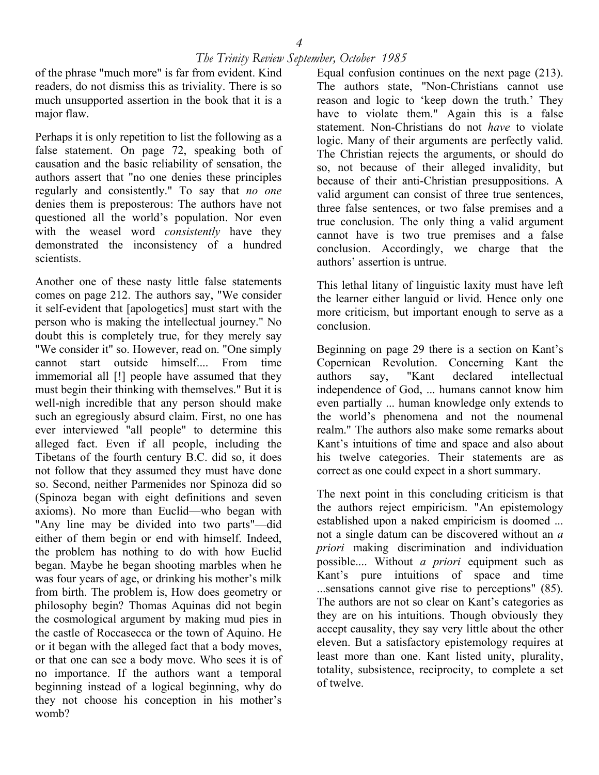of the phrase "much more" is far from evident. Kind readers, do not dismiss this as triviality. There is so much unsupported assertion in the book that it is a major flaw.

Perhaps it is only repetition to list the following as a false statement. On page 72, speaking both of causation and the basic reliability of sensation, the authors assert that "no one denies these principles regularly and consistently." To say that *no one* denies them is preposterous: The authors have not questioned all the world's population. Nor even with the weasel word *consistently* have they demonstrated the inconsistency of a hundred scientists.

Another one of these nasty little false statements comes on page 212. The authors say, "We consider it self-evident that [apologetics] must start with the person who is making the intellectual journey." No doubt this is completely true, for they merely say "We consider it" so. However, read on. "One simply cannot start outside himself.... From time immemorial all [!] people have assumed that they must begin their thinking with themselves." But it is well-nigh incredible that any person should make such an egregiously absurd claim. First, no one has ever interviewed "all people" to determine this alleged fact. Even if all people, including the Tibetans of the fourth century B.C. did so, it does not follow that they assumed they must have done so. Second, neither Parmenides nor Spinoza did so (Spinoza began with eight definitions and seven axioms). No more than Euclid—who began with "Any line may be divided into two parts"—did either of them begin or end with himself. Indeed, the problem has nothing to do with how Euclid began. Maybe he began shooting marbles when he was four years of age, or drinking his mother's milk from birth. The problem is, How does geometry or philosophy begin? Thomas Aquinas did not begin the cosmological argument by making mud pies in the castle of Roccasecca or the town of Aquino. He or it began with the alleged fact that a body moves, or that one can see a body move. Who sees it is of no importance. If the authors want a temporal beginning instead of a logical beginning, why do they not choose his conception in his mother's womb?

Equal confusion continues on the next page (213). The authors state, "Non-Christians cannot use reason and logic to 'keep down the truth.' They have to violate them." Again this is a false statement. Non-Christians do not *have* to violate logic. Many of their arguments are perfectly valid. The Christian rejects the arguments, or should do so, not because of their alleged invalidity, but because of their anti-Christian presuppositions. A valid argument can consist of three true sentences, three false sentences, or two false premises and a true conclusion. The only thing a valid argument cannot have is two true premises and a false conclusion. Accordingly, we charge that the authors' assertion is untrue.

This lethal litany of linguistic laxity must have left the learner either languid or livid. Hence only one more criticism, but important enough to serve as a conclusion.

Beginning on page 29 there is a section on Kant's Copernican Revolution. Concerning Kant the authors say, "Kant declared intellectual independence of God, ... humans cannot know him even partially ... human knowledge only extends to the world's phenomena and not the noumenal realm." The authors also make some remarks about Kant's intuitions of time and space and also about his twelve categories. Their statements are as correct as one could expect in a short summary.

The next point in this concluding criticism is that the authors reject empiricism. "An epistemology established upon a naked empiricism is doomed ... not a single datum can be discovered without an *a priori* making discrimination and individuation possible.... Without *a priori* equipment such as Kant's pure intuitions of space and time ...sensations cannot give rise to perceptions" (85). The authors are not so clear on Kant's categories as they are on his intuitions. Though obviously they accept causality, they say very little about the other eleven. But a satisfactory epistemology requires at least more than one. Kant listed unity, plurality, totality, subsistence, reciprocity, to complete a set of twelve.